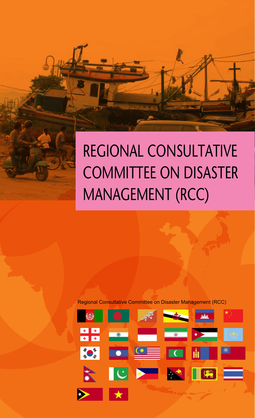## REGIONAL CONSULTATIVE COMMITTEE ON DISASTER MANAGEMENT (RCC)

Regional Consultative Committee on Disaster Management (RCC)

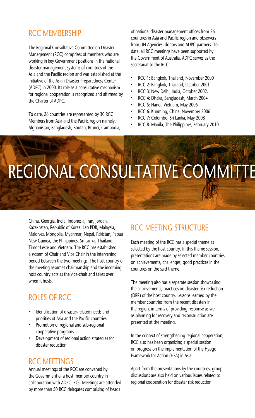## RCC MEMBERSHIP

The Regional Consultative Committee on Disaster Management (RCC) comprises of members who are working in key Government positions in the national disaster management systems of countries of the Asia and the Pacific region and was established at the initiative of the Asian Disaster Preparedness Center (ADPC) in 2000. Its role as a consultative mechanism for regional cooperation is recognized and affirmed by the Charter of ADPC.

To date, 26 countries are represented by 30 RCC Members from Asia and the Pacific region namely, Afghanistan, Bangladesh, Bhutan, Brunei, Cambodia, of national disaster management offices from 26 countries in Asia and Pacific region and observers from UN Agencies, donors and ADPC partners. To date, all RCC meetings have been supported by the Government of Australia. ADPC serves as the secretariat to the RCC.

- RCC 1: Bangkok, Thailand, November 2000
- RCC 2: Bangkok, Thailand, October 2001
- RCC 3: New Delhi, India, October 2002.
- RCC 4: Dhaka, Bangladesh, March 2004
- RCC 5: Hanoi, Vietnam, May 2005
- RCC 6: Kunming, China, November 2006
- RCC 7: Colombo, Sri Lanka, May 2008
- RCC 8: Manila, The Philippines, February 2010

## REGIONAL CONSULTATIVE COMMITTE

China, Georgia, India, Indonesia, Iran, Jordan, Kazakhstan, Republic of Korea, Lao PDR, Malaysia, Maldives, Mongolia, Myanmar, Nepal, Pakistan, Papua New Guinea, the Philippines, Sri Lanka, Thailand, Timor-Leste and Vietnam. The RCC has established a system of Chair and Vice Chair in the intervening period between the two meetings. The host country of the meeting assumes chairmanship and the incoming host country acts as the vice-chair and takes over when it hosts.

### ROLES OF RCC

- Identification of disaster-related needs and priorities of Asia and the Pacific countries
- Promotion of regional and sub-regional cooperative programs
- Development of regional action strategies for disaster reduction

### RCC MFFTINGS

Annual meetings of the RCC are convened by the Government of a host member country in collaboration with ADPC. RCC Meetings are attended by more than 50 RCC delegates comprising of heads

### RCC MEETING STRUCTURE

Each meeting of the RCC has a special theme as selected by the host country. In this theme session, presentations are made by selected member countries, on achievements, challenges, good practices in the countries on the said theme.

The meeting also has a separate session showcasing the achievements, practices on disaster risk reduction (DRR) of the host country. Lessons learned by the member countries from the recent disasters in the region, in terms of providing response as well as planning for recovery and reconstruction are presented at the meeting.

In the context of strengthening regional cooperation, RCC also has been organizing a special session on progress on the implementation of the Hyogo Framework for Action (HFA) in Asia.

Apart from the presentations by the countries, group discussions are also held on various issues related to regional cooperation for disaster risk reduction.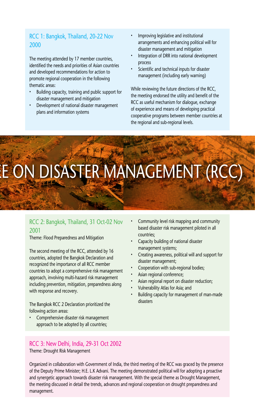#### RCC 1: Bangkok, Thailand, 20-22 Nov 2000

The meeting attended by 17 member countries, identified the needs and priorities of Asian countries and developed recommendations for action to promote regional cooperation in the following thematic areas:

- Building capacity, training and public support for disaster management and mitigation
- Development of national disaster management plans and information systems
- Improving legislative and institutional arrangements and enhancing political will for disaster management and mitigation
- Integration of DRR into national development process
- Scientific and technical inputs for disaster management (including early warning)

While reviewing the future directions of the RCC, the meeting endorsed the utility and benefit of the RCC as useful mechanism for dialogue, exchange of experience and means of developing practical cooperative programs between member countries at the regional and sub-regional levels.

# SASTER MANAGEMENT (RCC)

#### RCC 2: Bangkok, Thailand, 31 Oct-02 Nov 2001

Theme: Flood Preparedness and Mitigation

The second meeting of the RCC, attended by 16 countries, adopted the Bangkok Declaration and recognized the importance of all RCC member countries to adopt a comprehensive risk management approach, involving multi-hazard risk management including prevention, mitigation, preparedness along with response and recovery.

The Bangkok RCC 2 Declaration prioritized the following action areas:

• Comprehensive disaster risk management approach to be adopted by all countries;

RCC 3: New Delhi, India, 29-31 Oct 2002 Theme: Drought Risk Management

- Community level risk mapping and community based disaster risk management piloted in all countries;
- Capacity building of national disaster management systems;
- Creating awareness, political will and support for disaster management;
- Cooperation with sub-regional bodies;
- Asian regional conference;
- Asian regional report on disaster reduction;
- Vulnerability Atlas for Asia; and
- Building capacity for management of man-made disasters

Organized in collaboration with Government of India, the third meeting of the RCC was graced by the presence of the Deputy Prime Minister; H.E. L.K Advani. The meeting demonstrated political will for adopting a proactive and synergetic approach towards disaster risk management. With the special theme as Drought Management, the meeting discussed in detail the trends, advances and regional cooperation on drought preparedness and management.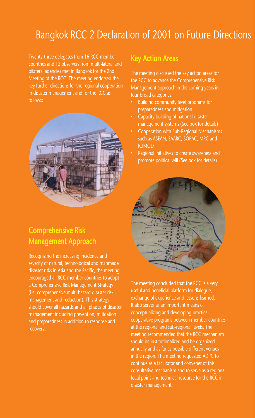## Bangkok RCC 2 Declaration of 2001 on Future Directions

Twenty-three delegates from 16 RCC member countries and 12 observers from multi-lateral and bilateral agencies met in Bangkok for the 2nd Meeting of the RCC. The meeting endorsed the key further directions for the regional cooperation in disaster management and for the RCC as follows:



## Comprehensive Risk Management Approach

Recognizing the increasing incidence and severity of natural, technological and manmade disaster risks in Asia and the Pacific, the meeting encouraged all RCC member countries to adopt a Comprehensive Risk Management Strategy (i.e. comprehensive multi-hazard disaster risk management and reduction). This strategy should cover all hazards and all phases of disaster management including prevention, mitigation and preparedness in addition to response and recovery.

## Key Action Areas

The meeting discussed the key action areas for the RCC to advance the Comprehensive Risk Management approach in the coming years in four broad categories:

- Building community level programs for preparedness and mitigation
- Capacity building of national disaster management systems (See box for details)
- Cooperation with Sub-Regional Mechanisms such as ASEAN, SAARC, SOPAC, MRC and ICIMOD
- Regional initiatives to create awareness and promote political will (See box for details)



The meeting concluded that the RCC is a very useful and beneficial platform for dialogue, exchange of experience and lessons learned. It also serves as an important means of conceptualizing and developing practical cooperative programs between member countries at the regional and sub-regional levels. The meeting recommended that the RCC mechanism should be institutionalized and be organized annually and as far as possible different venues in the region. The meeting requested ADPC to continue as a facilitator and convener of this consultative mechanism and to serve as a regional focal point and technical resource for the RCC in disaster management.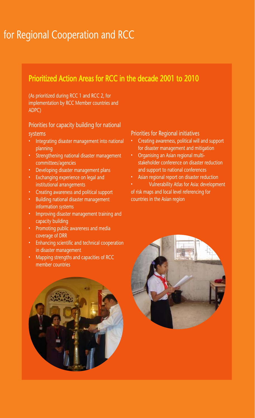## for Regional Cooperation and RCC

## Prioritized Action Areas for RCC in the decade 2001 to 2010

(As prioritized during RCC 1 and RCC 2, for implementation by RCC Member countries and ADPC)

## Priorities for capacity building for national

#### systems

- Integrating disaster management into national planning
- Strengthening national disaster management committees/agencies
- Developing disaster management plans
- Exchanging experience on legal and institutional arrangements
- Creating awareness and political support
- Building national disaster management information systems
- Improving disaster management training and capacity building
- Promoting public awareness and media coverage of DRR
- Enhancing scientific and technical cooperation in disaster management
- Mapping strengths and capacities of RCC member countries

#### Priorities for Regional initiatives

- Creating awareness, political will and support for disaster management and mitigation
- Organising an Asian regional multistakeholder conference on disaster reduction and support to national conferences
- Asian regional report on disaster reduction
- Vulnerability Atlas for Asia: development of risk maps and local level referencing for countries in the Asian region



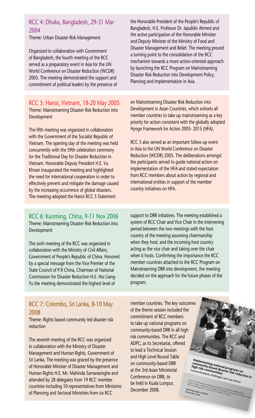#### RCC 4: Dhaka, Bangladesh, 29-31 Mar 2004

Theme: Urban Disaster Risk Management

Organized in collaboration with Government of Bangladesh, the fourth meeting of the RCC served as a preparatory event in Asia for the UN World Conference on Disaster Reduction (WCDR) 2005. The meeting demonstrated the support and commitment of political leaders by the presence of

RCC 5: Hanoi, Vietnam, 18-20 May 2005 Theme: Mainstreaming Disaster Risk Reduction into Development

The fifth meeting was organized in collaboration with the Government of the Socialist Republic of Vietnam. The opening day of the meeting was held concurrently with the 59th celebration ceremony for the Traditional Day for Disaster Reduction in Vietnam. Honorable Deputy President H.E. Vu Khoan inaugurated the meeting and highlighted the need for international cooperation in order to effectively prevent and mitigate the damage caused by the increasing occurrence of global disasters. The meeting adopted the Hanoi RCC 5 Statement

the Honorable President of the People's Republic of Bangladesh, H.E. Professor Dr. Iajuddin Ahmed and the active participation of the Honorable Minister and Deputy Minister of the Ministry of Food and Disaster Management and Relief. The meeting proved a turning point to the consolidation of the RCC mechanism towards a more action-oriented approach by launching the RCC Program on Mainstreaming Disaster Risk Reduction into Development Policy, Planning and Implementation in Asia.

on Mainstreaming Disaster Risk Reduction into Development in Asian Countries, which exhorts all member countries to take up mainstreaming as a key priority for action consistent with the globally adopted Hyogo Framework for Action 2005- 2015 (HFA).

RCC 5 also served as an important follow up event in Asia to the UN World Conference on Disaster Reduction (WCDR) 2005. The deliberations amongst the participants served to guide national action on implementation of the HFA and stated expectation from RCC members about action by regional and international entities in support of the member country initiatives on HFA.

RCC 6: Kunming, China, 9-11 Nov 2006 Theme: Mainstreaming Disaster Risk Reduction into Development

The sixth meeting of the RCC was organized in collaboration with the Ministry of Civil Affairs, Government of People's Republic of China. Honored by a special message from the Vice Premier of the State Council of P.R China, Chairman of National Commission for Disaster Reduction H.E. Hui Liang-Yu the meeting demonstrated the highest level of

RCC 7: Colombo, Sri Lanka, 8-10 May 2008

Theme: Rights based community led disaster risk reduction

The seventh meeting of the RCC was organized in collaboration with the Ministry of Disaster Management and Human Rights, Government of Sri Lanka. The meeting was graced by the presence of Honorable Minister of Disaster Management and Human Rights H.E. Mr. Mahinda Samarasinghe and attended by 28 delegates from 19 RCC member countries including 10 representatives from Ministries of Planning and Sectoral Ministries from six RCC

support to DRR initiatives. The meeting established a system of RCC Chair and Vice Chair in the intervening period between the two meetings with the host country of the meeting assuming chairmanship when they host; and the incoming host country acting as the vice chair and taking over the chair when it hosts. Confirming the importance the RCC member countries attached to the RCC Program on Mainstreaming DRR into development, the meeting decided on the approach for the future phases of the program.

member countries. The key outcomes of the theme session included the commitment of RCC members to take up national programs on community-based DRR in all high risk communities. The RCC and ADPC, as its Secretariat, offered to lead a Technical Session and High Level Round Table on community-based DRR at the 3rd Asian Ministerial Conference on DRR, to be held in Kuala Lumpur, December 2008.

**Implementing national programs on community-based disaster risk reduction in high risk communities:**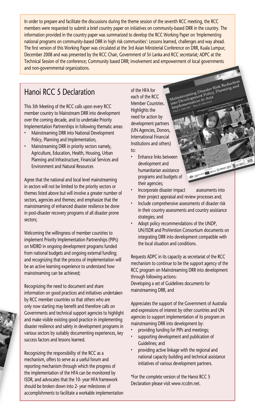In order to prepare and facilitate the discussions during the theme session of the seventh RCC meeting, the RCC members were requested to submit a brief country paper on initiatives on community-based DRR in the country. The information provided in the country paper was summarized to develop the RCC Working Paper on 'Implementing national programs on community-based DRR in high risk communities': Lessons learned, challenges and way ahead. The first version of this Working Paper was circulated at the 3rd Asian Ministerial Conference on DRR, Kuala Lumpur, December 2008 and was presented by the RCC Chair, Government of Sri Lanka and RCC secretariat; ADPC at the Technical Session of the conference; Community based DRR; involvement and empowerment of local governments and non-governmental organizations.

## Hanoi RCC 5 Declaration

This 5th Meeting of the RCC calls upon every RCC member country to Mainstream DRR into development over the coming decade, and to undertake Priority Implementation Partnerships in following thematic areas:

- Mainstreaming DRR into National Development Policy, Planning and Implementation,
- Mainstreaming DRR in priority sectors namely, Agriculture, Education, Health, Housing, Urban Planning and Infrastructure, Financial Services and Environment and Natural Resources

Agree that the national and local level mainstreaming in sectors will not be limited to the priority sectors or themes listed above but will involve a greater number of sectors, agencies and themes; and emphasize that the mainstreaming of enhanced disaster resilience be done in post-disaster recovery programs of all disaster prone sectors;

Welcoming the willingness of member countries to implement Priority Implementation Partnerships (PIPs) on MDRD in ongoing development programs funded from national budgets and ongoing external funding; and recognizing that the process of implementation will be an active learning experience to understand how mainstreaming can be achieved;

Recognizing the need to document and share information on good practices and initiatives undertaken by RCC member countries so that others who are only now starting may benefit and therefore calls on Governments and technical support agencies to highlight and make visible existing good practice in implementing disaster resilience and safety in development programs in various sectors by suitably documenting experiences, key success factors and lessons learned.

Recognizing the responsibility of the RCC as a mechanism, offers to serve as a useful forum and reporting mechanism through which the progress of the implementation of the HFA can be monitored by ISDR, and advocates that the 10- year HFA framework should be broken down into 2- year milestones of accomplishments to facilitate a workable implementation

Mainstreaming Disaster Risk Reduction of the HFA for each of the RCC Member Countries. Highlights the need for action by development partners (UN Agencies, Donors, International Financial Institutions and others) to:

- **Enhance links between** development and humanitarian assistance programs and budgets of their agencies;
- Incorporate disaster impact assessments into their project appraisal and review processes and;

**EURNO OTZ 160 18** 

- Include comprehensive assessments of disaster risk in their country assessments and country assistance strategies; and
- Adopt policy recommendations of the UNDP, UN/ISDR and ProVention Consortium documents on integrating DRR into development compatible with the local situation and conditions.

Requests ADPC in its capacity as secretariat of the RCC mechanism to continue to be the support agency of the RCC program on Mainstreaming DRR into development through following actions:

Developing a set of Guidelines documents for mainstreaming DRR, and

Appreciates the support of the Government of Australia and expressions of interest by other countries and UN agencies to support implementation of its program on mainstreaming DRR into development by:

- providing funding for PIPs and meetings;
- supporting development and publication of Guidelines; and
- providing active linkage with the regional and national capacity building and technical assistance initiatives of various development partners.

\*For the complete version of the Hanoi RCC 5 Declaration please visit www.rccdm.net.